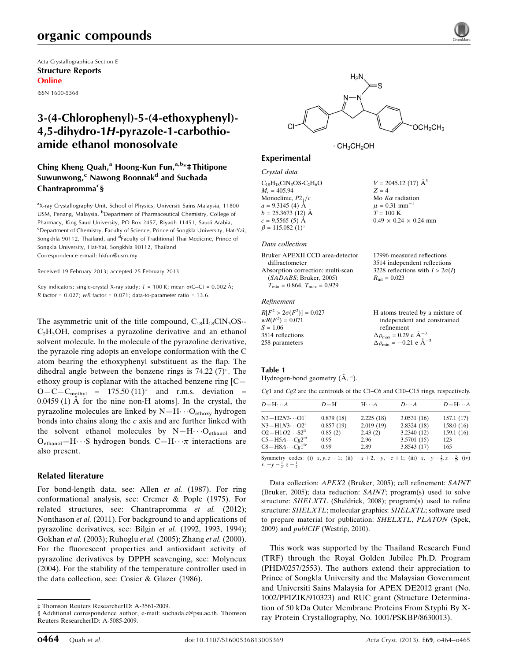## organic compounds

Acta Crystallographica Section E Structure Reports Online

ISSN 1600-5368

### 3-(4-Chlorophenyl)-5-(4-ethoxyphenyl)- 4,5-dihydro-1H-pyrazole-1-carbothioamide ethanol monosolvate

#### Ching Kheng Quah,<sup>a</sup> Hoong-Kun Fun, $a,b*$ ‡ Thitipone Suwunwong,<sup>c</sup> Nawong Boonnak<sup>d</sup> and Suchada Chantrapromma<sup>c</sup>§

<sup>a</sup>X-ray Crystallography Unit, School of Physics, Universiti Sains Malaysia, 11800 USM, Penang, Malaysia, <sup>b</sup>Department of Pharmaceutical Chemistry, College of Pharmacy, King Saud University, PO Box 2457, Riyadh 11451, Saudi Arabia, <sup>c</sup>Department of Chemistry, Faculty of Science, Prince of Songkla University, Hat-Yai, Songkhla 90112, Thailand, and <sup>d</sup>Faculty of Traditional Thai Medicine, Prince of Songkla University, Hat-Yai, Songkhla 90112, Thailand Correspondence e-mail: [hkfun@usm.my](https://scripts.iucr.org/cgi-bin/cr.cgi?rm=pdfbb&cnor=rz5045&bbid=BB16)

Received 19 February 2013; accepted 25 February 2013

Key indicators: single-crystal X-ray study;  $T = 100$  K; mean  $\sigma$ (C–C) = 0.002 Å; R factor =  $0.027$ ; wR factor =  $0.071$ ; data-to-parameter ratio = 13.6.

The asymmetric unit of the title compound,  $C_{18}H_{18}CIN_3OS$ - $C<sub>2</sub>H<sub>5</sub>OH$ , comprises a pyrazoline derivative and an ethanol solvent molecule. In the molecule of the pyrazoline derivative, the pyrazole ring adopts an envelope conformation with the C atom bearing the ethoxyphenyl substituent as the flap. The dihedral angle between the benzene rings is  $74.22$  (7)<sup>o</sup>. The ethoxy group is coplanar with the attached benzene ring [C—  $O-C-C_{\text{methyl}} = 175.50 \ (11)^{\circ}$  and r.m.s. deviation =  $0.0459(1)$  Å for the nine non-H atoms]. In the crystal, the pyrazoline molecules are linked by  $N-H \cdots O_{\text{ethoxy}}$  hydrogen bonds into chains along the  $c$  axis and are further linked with the solvent ethanol molecules by  $N-H\cdots O_{ethanol}$  and  $O_{ethanol} - H \cdots S$  hydrogen bonds.  $C - H \cdots \pi$  interactions are also present.

#### Related literature

For bond-length data, see: Allen *et al.* (1987). For ring conformational analysis, see: Cremer & Pople (1975). For related structures, see: Chantrapromma et al. (2012); Nonthason et al. (2011). For background to and applications of pyrazoline derivatives, see: Bilgin et al. (1992, 1993, 1994); Gokhan et al. (2003); Ruhoglu et al. (2005); Zhang et al. (2000). For the fluorescent properties and antioxidant activity of pyrazoline derivatives by DPPH scavenging, see: Molyneux (2004). For the stability of the temperature controller used in the data collection, see: Cosier & Glazer (1986).



 $V = 2045.12$  (17)  $\AA^3$ 

 $0.49 \times 0.24 \times 0.24$  mm

Mo  $K\alpha$  radiation  $\mu = 0.31$  mm<sup>-1</sup>  $T = 100$  K

 $Z = 4$ 

 $\cdot$  CH<sub>3</sub>CH<sub>2</sub>OH

#### Experimental

Crystal data

 $C_{18}H_{18}CN_3OS \cdot C_2H_6O$  $M<sub>r</sub> = 405.94$ Monoclinic,  $P2<sub>1</sub>/c$  $a = 9.3145(4)$  Å  $b = 25.3673(12)$  Å  $c = 9.5565(5)$  Å  $\beta = 115.082 \ (1)^{\circ}$ 

#### Data collection

| 17996 measured reflections             |
|----------------------------------------|
| 3514 independent reflections           |
| 3228 reflections with $I > 2\sigma(I)$ |
| $R_{\text{int}} = 0.023$               |
|                                        |
|                                        |

#### Refinement

| $R[F^2 > 2\sigma(F^2)] = 0.027$ | H atoms treated by a mixture of                    |
|---------------------------------|----------------------------------------------------|
| $wR(F^2) = 0.071$               | independent and constrained                        |
| $S = 1.06$                      | refinement                                         |
| 3514 reflections                | $\Delta \rho_{\text{max}} = 0.29 \text{ e A}^{-3}$ |
| 258 parameters                  | $\Delta \rho_{\text{min}} = -0.21$ e $\AA^{-3}$    |

#### Table 1

Hydrogen-bond geometry  $(A, \circ)$ .

Cg1 and Cg2 are the centroids of the C1–C6 and C10–C15 rings, respectively.

| $D - H \cdots A$                                                                                                    | $D-H$     | $H \cdot \cdot \cdot A$ | $D\cdots A$ | $D - H \cdots A$ |
|---------------------------------------------------------------------------------------------------------------------|-----------|-------------------------|-------------|------------------|
| $N3 - H2N3 \cdots O1^1$                                                                                             | 0.879(18) | 2.225(18)               | 3.0531(16)  | 157.1(17)        |
| $N3 - H1N3 \cdots O2^{1}$                                                                                           | 0.857(19) | 2.019(19)               | 2.8324(18)  | 158.0(16)        |
| $O2 - H1O2 \cdots S2^{n}$                                                                                           | 0.85(2)   | 2.43(2)                 | 3.2340 (12) | 159.1(16)        |
| $C5 - H5A \cdots Cg2III$                                                                                            | 0.95      | 2.96                    | 3.5701(15)  | 123              |
| $C8 - H8A \cdots Cg1^W$                                                                                             | 0.99      | 2.89                    | 3.8543(17)  | 165              |
| Symmetry codes: (i) $x, y, z - 1$ ; (ii) $-x + 2, -y, -z + 1$ ; (iii) $x, -y - \frac{1}{2}, z - \frac{3}{2}$ ; (iv) |           |                         |             |                  |

 $\frac{1}{2}$ ,  $z - \frac{3}{2}$  $\frac{3}{2}$ ; (iv)  $x, -y - \frac{1}{2}, z - \frac{1}{2}$ 

Data collection: APEX2 (Bruker, 2005); cell refinement: SAINT (Bruker, 2005); data reduction: SAINT; program(s) used to solve structure: SHELXTL (Sheldrick, 2008); program(s) used to refine structure: SHELXTL; molecular graphics: SHELXTL; software used to prepare material for publication: SHELXTL, PLATON (Spek, 2009) and publCIF (Westrip, 2010).

This work was supported by the Thailand Research Fund (TRF) through the Royal Golden Jubilee Ph.D. Program (PHD/0257/2553). The authors extend their appreciation to Prince of Songkla University and the Malaysian Government and Universiti Sains Malaysia for APEX DE2012 grant (No. 1002/PFIZIK/910323) and RUC grant (Structure Determination of 50 kDa Outer Membrane Proteins From S.typhi By Xray Protein Crystallography, No. 1001/PSKBP/8630013).

<sup>‡</sup> Thomson Reuters ResearcherID: A-3561-2009.

<sup>§</sup> Additional correspondence author, e-mail: suchada.c@psu.ac.th. Thomson Reuters ResearcherID: A-5085-2009.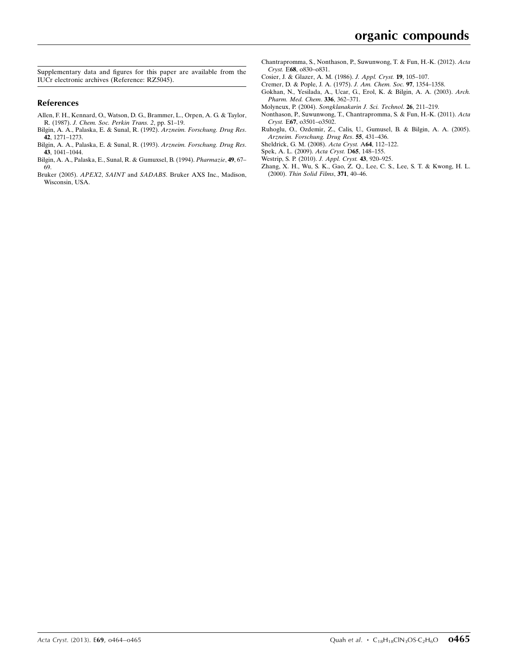Supplementary data and figures for this paper are available from the IUCr electronic archives (Reference: RZ5045).

#### References

- [Allen, F. H., Kennard, O., Watson, D. G., Brammer, L., Orpen, A. G. & Taylor,](https://scripts.iucr.org/cgi-bin/cr.cgi?rm=pdfbb&cnor=rz5045&bbid=BB1) R. (1987). [J. Chem. Soc. Perkin Trans. 2](https://scripts.iucr.org/cgi-bin/cr.cgi?rm=pdfbb&cnor=rz5045&bbid=BB1), pp. S1–19.
- [Bilgin, A. A., Palaska, E. & Sunal, R. \(1992\).](https://scripts.iucr.org/cgi-bin/cr.cgi?rm=pdfbb&cnor=rz5045&bbid=BB2) Arzneim. Forschung. Drug Res. 42[, 1271–1273.](https://scripts.iucr.org/cgi-bin/cr.cgi?rm=pdfbb&cnor=rz5045&bbid=BB2)
- [Bilgin, A. A., Palaska, E. & Sunal, R. \(1993\).](https://scripts.iucr.org/cgi-bin/cr.cgi?rm=pdfbb&cnor=rz5045&bbid=BB3) Arzneim. Forschung. Drug Res. 43[, 1041–1044.](https://scripts.iucr.org/cgi-bin/cr.cgi?rm=pdfbb&cnor=rz5045&bbid=BB3)
- [Bilgin, A. A., Palaska, E., Sunal, R. & Gumuxsel, B. \(1994\).](https://scripts.iucr.org/cgi-bin/cr.cgi?rm=pdfbb&cnor=rz5045&bbid=BB4) Pharmazie, 49, 67– [69.](https://scripts.iucr.org/cgi-bin/cr.cgi?rm=pdfbb&cnor=rz5045&bbid=BB4)
- Bruker (2005). APEX2, SAINT and SADABS[. Bruker AXS Inc., Madison,](https://scripts.iucr.org/cgi-bin/cr.cgi?rm=pdfbb&cnor=rz5045&bbid=BB5) [Wisconsin, USA.](https://scripts.iucr.org/cgi-bin/cr.cgi?rm=pdfbb&cnor=rz5045&bbid=BB5)
- [Chantrapromma, S., Nonthason, P., Suwunwong, T. & Fun, H.-K. \(2012\).](https://scripts.iucr.org/cgi-bin/cr.cgi?rm=pdfbb&cnor=rz5045&bbid=BB6) Acta Cryst. E68[, o830–o831.](https://scripts.iucr.org/cgi-bin/cr.cgi?rm=pdfbb&cnor=rz5045&bbid=BB6)
- [Cosier, J. & Glazer, A. M. \(1986\).](https://scripts.iucr.org/cgi-bin/cr.cgi?rm=pdfbb&cnor=rz5045&bbid=BB7) J. Appl. Cryst. 19, 105–107.
- [Cremer, D. & Pople, J. A. \(1975\).](https://scripts.iucr.org/cgi-bin/cr.cgi?rm=pdfbb&cnor=rz5045&bbid=BB8) J. Am. Chem. Soc. 97, 1354–1358.
- [Gokhan, N., Yesilada, A., Ucar, G., Erol, K. & Bilgin, A. A. \(2003\).](https://scripts.iucr.org/cgi-bin/cr.cgi?rm=pdfbb&cnor=rz5045&bbid=BB9) Arch. [Pharm. Med. Chem](https://scripts.iucr.org/cgi-bin/cr.cgi?rm=pdfbb&cnor=rz5045&bbid=BB9). 336, 362–371.
- Molyneux, P. (2004). [Songklanakarin J. Sci. Technol](https://scripts.iucr.org/cgi-bin/cr.cgi?rm=pdfbb&cnor=rz5045&bbid=BB10). 26, 211–219.
- [Nonthason, P., Suwunwong, T., Chantrapromma, S. & Fun, H.-K. \(2011\).](https://scripts.iucr.org/cgi-bin/cr.cgi?rm=pdfbb&cnor=rz5045&bbid=BB11) Acta Cryst. E67[, o3501–o3502.](https://scripts.iucr.org/cgi-bin/cr.cgi?rm=pdfbb&cnor=rz5045&bbid=BB11)
- [Ruhoglu, O., Ozdemir, Z., Calis, U., Gumusel, B. & Bilgin, A. A. \(2005\).](https://scripts.iucr.org/cgi-bin/cr.cgi?rm=pdfbb&cnor=rz5045&bbid=BB12) [Arzneim. Forschung. Drug Res](https://scripts.iucr.org/cgi-bin/cr.cgi?rm=pdfbb&cnor=rz5045&bbid=BB12). 55, 431–436.
- [Sheldrick, G. M. \(2008\).](https://scripts.iucr.org/cgi-bin/cr.cgi?rm=pdfbb&cnor=rz5045&bbid=BB13) Acta Cryst. A64, 112–122.
- [Spek, A. L. \(2009\).](https://scripts.iucr.org/cgi-bin/cr.cgi?rm=pdfbb&cnor=rz5045&bbid=BB14) Acta Cryst. D65, 148–155.
- [Westrip, S. P. \(2010\).](https://scripts.iucr.org/cgi-bin/cr.cgi?rm=pdfbb&cnor=rz5045&bbid=BB15) J. Appl. Cryst. 43, 920–925.
- [Zhang, X. H., Wu, S. K., Gao, Z. Q., Lee, C. S., Lee, S. T. & Kwong, H. L.](https://scripts.iucr.org/cgi-bin/cr.cgi?rm=pdfbb&cnor=rz5045&bbid=BB16) (2000). [Thin Solid Films](https://scripts.iucr.org/cgi-bin/cr.cgi?rm=pdfbb&cnor=rz5045&bbid=BB16), 371, 40–46.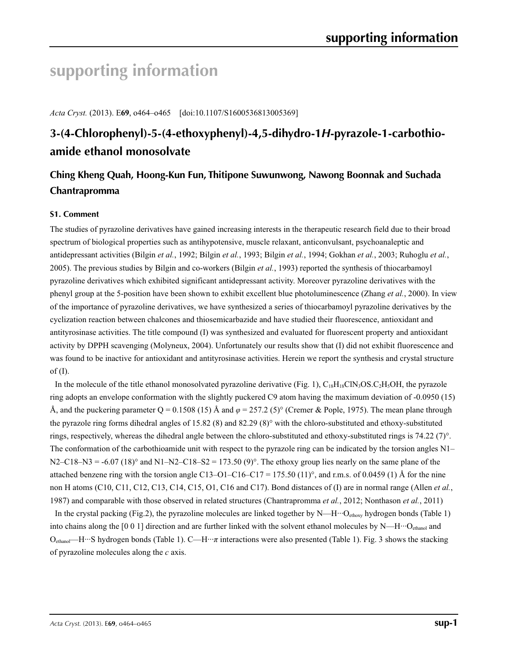# **supporting information**

*Acta Cryst.* (2013). E**69**, o464–o465 [doi:10.1107/S1600536813005369]

# **3-(4-Chlorophenyl)-5-(4-ethoxyphenyl)-4,5-dihydro-1***H***-pyrazole-1-carbothioamide ethanol monosolvate**

## **Ching Kheng Quah, Hoong-Kun Fun, Thitipone Suwunwong, Nawong Boonnak and Suchada Chantrapromma**

#### **S1. Comment**

The studies of pyrazoline derivatives have gained increasing interests in the therapeutic research field due to their broad spectrum of biological properties such as antihypotensive, muscle relaxant, anticonvulsant, psychoanaleptic and antidepressant activities (Bilgin *et al.*, 1992; Bilgin *et al.*, 1993; Bilgin *et al.*, 1994; Gokhan *et al.*, 2003; Ruhoglu *et al.*, 2005). The previous studies by Bilgin and co-workers (Bilgin *et al.*, 1993) reported the synthesis of thiocarbamoyl pyrazoline derivatives which exhibited significant antidepressant activity. Moreover pyrazoline derivatives with the phenyl group at the 5-position have been shown to exhibit excellent blue photoluminescence (Zhang *et al.*, 2000). In view of the importance of pyrazoline derivatives, we have synthesized a series of thiocarbamoyl pyrazoline derivatives by the cyclization reaction between chalcones and thiosemicarbazide and have studied their fluorescence, antioxidant and antityrosinase activities. The title compound (I) was synthesized and evaluated for fluorescent property and antioxidant activity by DPPH scavenging (Molyneux, 2004). Unfortunately our results show that (I) did not exhibit fluorescence and was found to be inactive for antioxidant and antityrosinase activities. Herein we report the synthesis and crystal structure of  $(I)$ .

In the molecule of the title ethanol monosolvated pyrazoline derivative (Fig. 1),  $C_{18}H_{18}CIN_3OS.C_2H_3OH$ , the pyrazole ring adopts an envelope conformation with the slightly puckered C9 atom having the maximum deviation of -0.0950 (15) Å, and the puckering parameter Q = 0.1508 (15) Å and *φ* = 257.2 (5)° (Cremer & Pople, 1975). The mean plane through the pyrazole ring forms dihedral angles of 15.82 (8) and 82.29 (8)° with the chloro-substituted and ethoxy-substituted rings, respectively, whereas the dihedral angle between the chloro-substituted and ethoxy-substituted rings is 74.22 (7)°. The conformation of the carbothioamide unit with respect to the pyrazole ring can be indicated by the torsion angles N1–  $N2-C18-N3 = -6.07 (18)°$  and  $N1-N2-C18-S2 = 173.50 (9)°$ . The ethoxy group lies nearly on the same plane of the attached benzene ring with the torsion angle C13–O1–C16–C17 = 175.50 (11)°, and r.m.s. of 0.0459 (1) Å for the nine non H atoms (C10, C11, C12, C13, C14, C15, O1, C16 and C17). Bond distances of (I) are in normal range (Allen *et al.*, 1987) and comparable with those observed in related structures (Chantrapromma *et al.*, 2012; Nonthason *et al.*, 2011)

In the crystal packing (Fig.2), the pyrazoline molecules are linked together by  $N-H \cdots O_{\text{ehoxy}}$  hydrogen bonds (Table 1) into chains along the [0 0 1] direction and are further linked with the solvent ethanol molecules by  $N$ —H $\cdot$  $\cdot$ O<sub>ethanol</sub> and Oethanol—H···S hydrogen bonds (Table 1). C—H···*π* interactions were also presented (Table 1). Fig. 3 shows the stacking of pyrazoline molecules along the *c* axis.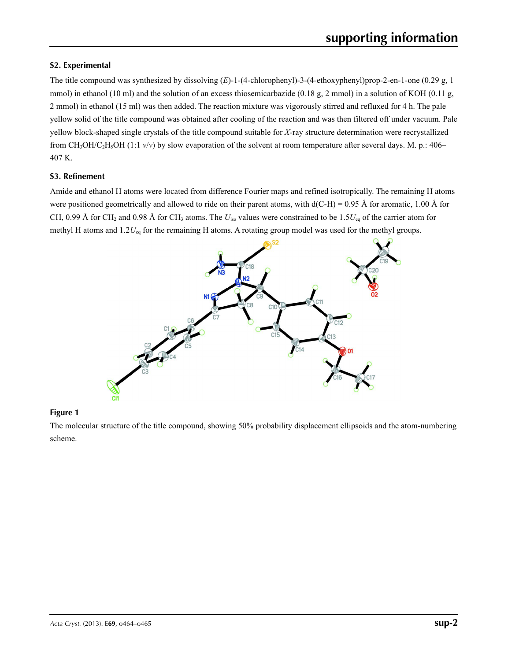#### **S2. Experimental**

The title compound was synthesized by dissolving (*E*)-1-(4-chlorophenyl)-3-(4-ethoxyphenyl)prop-2-en-1-one (0.29 g, 1 mmol) in ethanol (10 ml) and the solution of an excess thiosemicarbazide (0.18 g, 2 mmol) in a solution of KOH (0.11 g, 2 mmol) in ethanol (15 ml) was then added. The reaction mixture was vigorously stirred and refluxed for 4 h. The pale yellow solid of the title compound was obtained after cooling of the reaction and was then filtered off under vacuum. Pale yellow block-shaped single crystals of the title compound suitable for *X*-ray structure determination were recrystallized from CH<sub>3</sub>OH/C<sub>2</sub>H<sub>5</sub>OH (1:1  $v/v$ ) by slow evaporation of the solvent at room temperature after several days. M. p.: 406– 407 K.

#### **S3. Refinement**

Amide and ethanol H atoms were located from difference Fourier maps and refined isotropically. The remaining H atoms were positioned geometrically and allowed to ride on their parent atoms, with  $d(C-H) = 0.95 \text{ Å}$  for aromatic, 1.00 Å for CH, 0.99 Å for CH<sub>2</sub> and 0.98 Å for CH<sub>3</sub> atoms. The  $U_{\text{iso}}$  values were constrained to be 1.5 $U_{\text{eq}}$  of the carrier atom for methyl H atoms and 1.2*U*eq for the remaining H atoms. A rotating group model was used for the methyl groups.



#### **Figure 1**

The molecular structure of the title compound, showing 50% probability displacement ellipsoids and the atom-numbering scheme.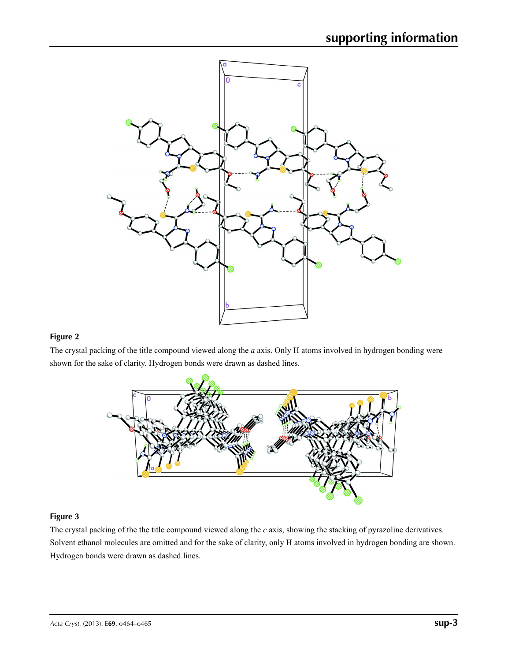

#### **Figure 2**

The crystal packing of the title compound viewed along the *a* axis. Only H atoms involved in hydrogen bonding were shown for the sake of clarity. Hydrogen bonds were drawn as dashed lines.



#### **Figure 3**

The crystal packing of the the title compound viewed along the *c* axis, showing the stacking of pyrazoline derivatives. Solvent ethanol molecules are omitted and for the sake of clarity, only H atoms involved in hydrogen bonding are shown. Hydrogen bonds were drawn as dashed lines.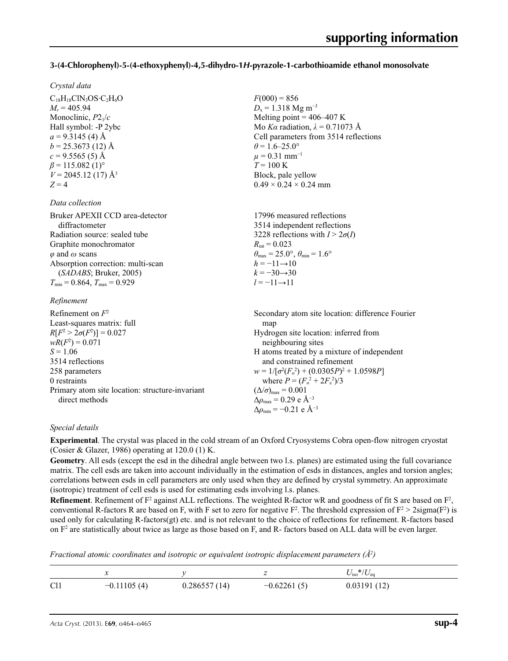#### **3-(4-Chlorophenyl)-5-(4-ethoxyphenyl)-4,5-dihydro-1***H***-pyrazole-1-carbothioamide ethanol monosolvate**

 $F(000) = 856$  $D_x = 1.318$  Mg m<sup>-3</sup>

 $\theta$  = 1.6–25.0°  $\mu$  = 0.31 mm<sup>-1</sup>  $T = 100 \text{ K}$ 

Block, pale yellow  $0.49 \times 0.24 \times 0.24$  mm

Melting point  $=$  406–407 K Mo *Kα* radiation,  $\lambda = 0.71073$  Å Cell parameters from 3514 reflections

#### *Crystal data*

 $C_{18}H_{18}CIN_3OS \cdot C_2H_6O$  $M_r = 405.94$ Monoclinic, *P*21/*c* Hall symbol: -P 2ybc  $a = 9.3145$  (4) Å  $b = 25.3673(12)$  Å  $c = 9.5565(5)$  Å  $\beta$  = 115.082 (1)<sup>o</sup>  $V = 2045.12(17)$  Å<sup>3</sup>  $Z = 4$ 

#### *Data collection*

| Bruker APEXII CCD area-detector        | 17996 measured reflections                                              |
|----------------------------------------|-------------------------------------------------------------------------|
| diffractometer                         | 3514 independent reflections                                            |
| Radiation source: sealed tube          | 3228 reflections with $I > 2\sigma(I)$                                  |
| Graphite monochromator                 | $R_{\text{int}} = 0.023$                                                |
| $\varphi$ and $\omega$ scans           | $\theta_{\text{max}} = 25.0^{\circ}, \theta_{\text{min}} = 1.6^{\circ}$ |
| Absorption correction: multi-scan      | $h = -11 \rightarrow 10$                                                |
| (SADABS; Bruker, 2005)                 | $k = -30 \rightarrow 30$                                                |
| $T_{\min}$ = 0.864, $T_{\max}$ = 0.929 | $l = -11 \rightarrow 11$                                                |
|                                        |                                                                         |

#### *Refinement*

| Refinement on $F^2$                             | Secondary atom site location: difference Fourier   |
|-------------------------------------------------|----------------------------------------------------|
| Least-squares matrix: full                      | map                                                |
| $R[F^2 > 2\sigma(F^2)] = 0.027$                 | Hydrogen site location: inferred from              |
| $wR(F^2) = 0.071$                               | neighbouring sites                                 |
| $S = 1.06$                                      | H atoms treated by a mixture of independent        |
| 3514 reflections                                | and constrained refinement                         |
| 258 parameters                                  | $w = 1/[\sigma^2(F_0^2) + (0.0305P)^2 + 1.0598P]$  |
| 0 restraints                                    | where $P = (F_o^2 + 2F_c^2)/3$                     |
| Primary atom site location: structure-invariant | $(\Delta/\sigma)_{\text{max}} = 0.001$             |
| direct methods                                  | $\Delta\rho_{\text{max}} = 0.29$ e Å <sup>-3</sup> |
|                                                 | $\Delta \rho_{\rm min} = -0.21$ e Å <sup>-3</sup>  |

#### *Special details*

**Experimental**. The crystal was placed in the cold stream of an Oxford Cryosystems Cobra open-flow nitrogen cryostat (Cosier & Glazer, 1986) operating at 120.0 (1) K.

**Geometry**. All esds (except the esd in the dihedral angle between two l.s. planes) are estimated using the full covariance matrix. The cell esds are taken into account individually in the estimation of esds in distances, angles and torsion angles; correlations between esds in cell parameters are only used when they are defined by crystal symmetry. An approximate (isotropic) treatment of cell esds is used for estimating esds involving l.s. planes.

**Refinement**. Refinement of  $F^2$  against ALL reflections. The weighted R-factor wR and goodness of fit S are based on  $F^2$ , conventional R-factors R are based on F, with F set to zero for negative  $F^2$ . The threshold expression of  $F^2 > 2 \text{sigma}(F^2)$  is used only for calculating R-factors(gt) etc. and is not relevant to the choice of reflections for refinement. R-factors based on  $F<sup>2</sup>$  are statistically about twice as large as those based on F, and R- factors based on ALL data will be even larger.

*Fractional atomic coordinates and isotropic or equivalent isotropic displacement parameters (Å<sup>2</sup>)* 

|                 | $\ddot{\phantom{0}}$ |              |               | $U_{\rm iso}*/U_{\rm eq}$ |
|-----------------|----------------------|--------------|---------------|---------------------------|
| C <sub>11</sub> | $-0.11105(4)$        | 0.286557(14) | $-0.62261(5)$ | 0.03191(12)               |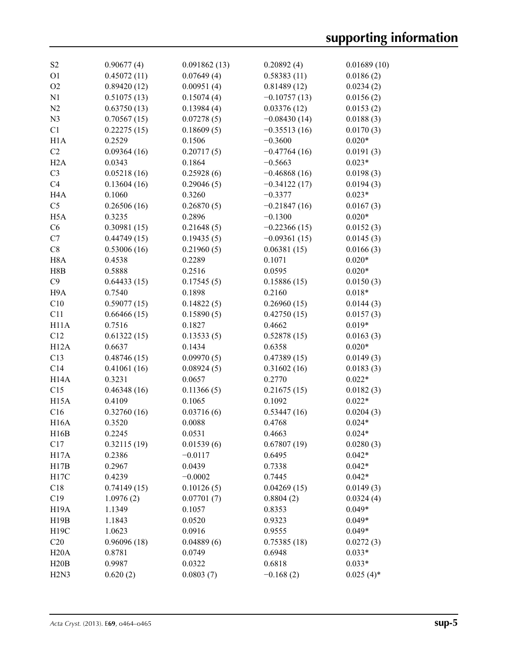| S <sub>2</sub>                | 0.90677(4)  | 0.091862(13) | 0.20892(4)     | 0.01689(10)  |
|-------------------------------|-------------|--------------|----------------|--------------|
| O <sub>1</sub>                | 0.45072(11) | 0.07649(4)   | 0.58383(11)    | 0.0186(2)    |
| O <sub>2</sub>                | 0.89420(12) | 0.00951(4)   | 0.81489(12)    | 0.0234(2)    |
| N1                            | 0.51075(13) | 0.15074(4)   | $-0.10757(13)$ | 0.0156(2)    |
| N2                            | 0.63750(13) | 0.13984(4)   | 0.03376(12)    | 0.0153(2)    |
| N <sub>3</sub>                | 0.70567(15) | 0.07278(5)   | $-0.08430(14)$ | 0.0188(3)    |
| C1                            | 0.22275(15) | 0.18609(5)   | $-0.35513(16)$ | 0.0170(3)    |
| H1A                           | 0.2529      | 0.1506       | $-0.3600$      | $0.020*$     |
| C <sub>2</sub>                | 0.09364(16) | 0.20717(5)   | $-0.47764(16)$ | 0.0191(3)    |
| H2A                           | 0.0343      | 0.1864       | $-0.5663$      | $0.023*$     |
| C <sub>3</sub>                | 0.05218(16) | 0.25928(6)   | $-0.46868(16)$ | 0.0198(3)    |
| C <sub>4</sub>                | 0.13604(16) | 0.29046(5)   | $-0.34122(17)$ | 0.0194(3)    |
| H <sub>4</sub> A              | 0.1060      | 0.3260       | $-0.3377$      | $0.023*$     |
| C <sub>5</sub>                | 0.26506(16) | 0.26870(5)   | $-0.21847(16)$ | 0.0167(3)    |
| H <sub>5</sub> A              | 0.3235      | 0.2896       | $-0.1300$      | $0.020*$     |
| C6                            | 0.30981(15) | 0.21648(5)   | $-0.22366(15)$ | 0.0152(3)    |
| C7                            | 0.44749(15) | 0.19435(5)   | $-0.09361(15)$ | 0.0145(3)    |
| C8                            | 0.53006(16) | 0.21960(5)   | 0.06381(15)    | 0.0166(3)    |
| H <sub>8</sub> A              | 0.4538      | 0.2289       | 0.1071         | $0.020*$     |
| H8B                           | 0.5888      | 0.2516       | 0.0595         | $0.020*$     |
| C9                            | 0.64433(15) | 0.17545(5)   | 0.15886(15)    | 0.0150(3)    |
| H9A                           | 0.7540      | 0.1898       | 0.2160         | $0.018*$     |
| C10                           | 0.59077(15) | 0.14822(5)   | 0.26960(15)    | 0.0144(3)    |
| C11                           | 0.66466(15) | 0.15890(5)   | 0.42750(15)    | 0.0157(3)    |
| H11A                          | 0.7516      | 0.1827       | 0.4662         | $0.019*$     |
| C12                           | 0.61322(15) | 0.13533(5)   | 0.52878(15)    | 0.0163(3)    |
| <b>H12A</b>                   | 0.6637      | 0.1434       | 0.6358         | $0.020*$     |
| C13                           | 0.48746(15) | 0.09970(5)   | 0.47389(15)    | 0.0149(3)    |
| C14                           | 0.41061(16) | 0.08924(5)   | 0.31602(16)    | 0.0183(3)    |
| H <sub>14</sub> A             | 0.3231      | 0.0657       | 0.2770         | $0.022*$     |
| C15                           | 0.46348(16) | 0.11366(5)   | 0.21675(15)    | 0.0182(3)    |
| H <sub>15</sub> A             | 0.4109      | 0.1065       | 0.1092         | $0.022*$     |
| C16                           | 0.32760(16) | 0.03716(6)   | 0.53447(16)    | 0.0204(3)    |
| <b>H16A</b>                   | 0.3520      | 0.0088       | 0.4768         | $0.024*$     |
| H16B                          | 0.2245      | 0.0531       | 0.4663         | $0.024*$     |
| C17                           | 0.32115(19) | 0.01539(6)   | 0.67807(19)    | 0.0280(3)    |
| <b>H17A</b>                   | 0.2386      | $-0.0117$    | 0.6495         | $0.042*$     |
| H17B                          | 0.2967      | 0.0439       | 0.7338         | $0.042*$     |
| H17C                          | 0.4239      | $-0.0002$    | 0.7445         | $0.042*$     |
| C18                           | 0.74149(15) | 0.10126(5)   | 0.04269(15)    | 0.0149(3)    |
| C19                           | 1.0976(2)   | 0.07701(7)   | 0.8804(2)      | 0.0324(4)    |
| H <sub>19</sub> A             | 1.1349      | 0.1057       | 0.8353         | $0.049*$     |
| H19B                          | 1.1843      | 0.0520       | 0.9323         | $0.049*$     |
| H19C                          | 1.0623      | 0.0916       | 0.9555         | $0.049*$     |
| C20                           | 0.96096(18) | 0.04889(6)   | 0.75385(18)    | 0.0272(3)    |
| H20A                          | 0.8781      | 0.0749       | 0.6948         | $0.033*$     |
| H20B                          | 0.9987      | 0.0322       | 0.6818         | $0.033*$     |
| H <sub>2</sub> N <sub>3</sub> | 0.620(2)    | 0.0803(7)    | $-0.168(2)$    | $0.025(4)$ * |
|                               |             |              |                |              |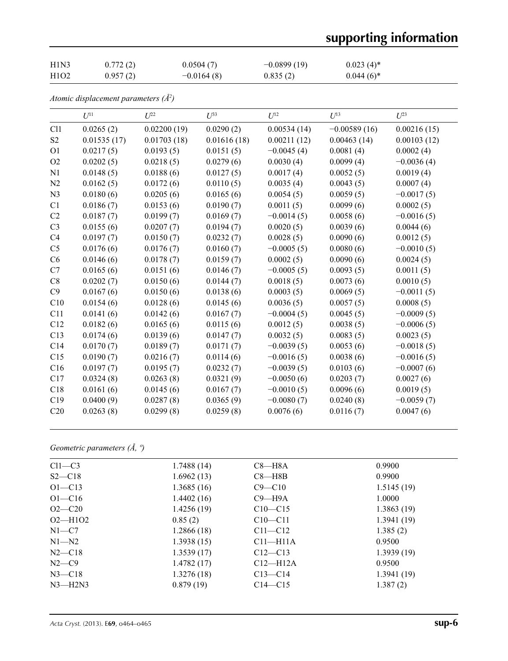# **supporting information**

| H1N3                          | 0.772(2) | 0.0504(7)    | $-0.0899(19)$ | $0.023(4)$ * |
|-------------------------------|----------|--------------|---------------|--------------|
| H <sub>1</sub> O <sub>2</sub> | 0.957(2) | $-0.0164(8)$ | 0.835(2)      | $0.044(6)$ * |

*Atomic displacement parameters (Å2 )*

|                | $U^{11}$    | $U^{22}$    | $U^{33}$    | $U^{12}$     | $U^{13}$       | $U^{23}$     |
|----------------|-------------|-------------|-------------|--------------|----------------|--------------|
| C11            | 0.0265(2)   | 0.02200(19) | 0.0290(2)   | 0.00534(14)  | $-0.00589(16)$ | 0.00216(15)  |
| S <sub>2</sub> | 0.01535(17) | 0.01703(18) | 0.01616(18) | 0.00211(12)  | 0.00463(14)    | 0.00103(12)  |
| O <sub>1</sub> | 0.0217(5)   | 0.0193(5)   | 0.0151(5)   | $-0.0045(4)$ | 0.0081(4)      | 0.0002(4)    |
| O2             | 0.0202(5)   | 0.0218(5)   | 0.0279(6)   | 0.0030(4)    | 0.0099(4)      | $-0.0036(4)$ |
| N1             | 0.0148(5)   | 0.0188(6)   | 0.0127(5)   | 0.0017(4)    | 0.0052(5)      | 0.0019(4)    |
| N2             | 0.0162(5)   | 0.0172(6)   | 0.0110(5)   | 0.0035(4)    | 0.0043(5)      | 0.0007(4)    |
| N <sub>3</sub> | 0.0180(6)   | 0.0205(6)   | 0.0165(6)   | 0.0054(5)    | 0.0059(5)      | $-0.0017(5)$ |
| C1             | 0.0186(7)   | 0.0153(6)   | 0.0190(7)   | 0.0011(5)    | 0.0099(6)      | 0.0002(5)    |
| C2             | 0.0187(7)   | 0.0199(7)   | 0.0169(7)   | $-0.0014(5)$ | 0.0058(6)      | $-0.0016(5)$ |
| C <sub>3</sub> | 0.0155(6)   | 0.0207(7)   | 0.0194(7)   | 0.0020(5)    | 0.0039(6)      | 0.0044(6)    |
| C4             | 0.0197(7)   | 0.0150(7)   | 0.0232(7)   | 0.0028(5)    | 0.0090(6)      | 0.0012(5)    |
| C <sub>5</sub> | 0.0176(6)   | 0.0176(7)   | 0.0160(7)   | $-0.0005(5)$ | 0.0080(6)      | $-0.0010(5)$ |
| C6             | 0.0146(6)   | 0.0178(7)   | 0.0159(7)   | 0.0002(5)    | 0.0090(6)      | 0.0024(5)    |
| C7             | 0.0165(6)   | 0.0151(6)   | 0.0146(7)   | $-0.0005(5)$ | 0.0093(5)      | 0.0011(5)    |
| C8             | 0.0202(7)   | 0.0150(6)   | 0.0144(7)   | 0.0018(5)    | 0.0073(6)      | 0.0010(5)    |
| C9             | 0.0167(6)   | 0.0150(6)   | 0.0138(6)   | 0.0003(5)    | 0.0069(5)      | $-0.0011(5)$ |
| C10            | 0.0154(6)   | 0.0128(6)   | 0.0145(6)   | 0.0036(5)    | 0.0057(5)      | 0.0008(5)    |
| C11            | 0.0141(6)   | 0.0142(6)   | 0.0167(7)   | $-0.0004(5)$ | 0.0045(5)      | $-0.0009(5)$ |
| C12            | 0.0182(6)   | 0.0165(6)   | 0.0115(6)   | 0.0012(5)    | 0.0038(5)      | $-0.0006(5)$ |
| C13            | 0.0174(6)   | 0.0139(6)   | 0.0147(7)   | 0.0032(5)    | 0.0083(5)      | 0.0023(5)    |
| C14            | 0.0170(7)   | 0.0189(7)   | 0.0171(7)   | $-0.0039(5)$ | 0.0053(6)      | $-0.0018(5)$ |
| C15            | 0.0190(7)   | 0.0216(7)   | 0.0114(6)   | $-0.0016(5)$ | 0.0038(6)      | $-0.0016(5)$ |
| C16            | 0.0197(7)   | 0.0195(7)   | 0.0232(7)   | $-0.0039(5)$ | 0.0103(6)      | $-0.0007(6)$ |
| C17            | 0.0324(8)   | 0.0263(8)   | 0.0321(9)   | $-0.0050(6)$ | 0.0203(7)      | 0.0027(6)    |
| C18            | 0.0161(6)   | 0.0145(6)   | 0.0167(7)   | $-0.0010(5)$ | 0.0096(6)      | 0.0019(5)    |
| C19            | 0.0400(9)   | 0.0287(8)   | 0.0365(9)   | $-0.0080(7)$ | 0.0240(8)      | $-0.0059(7)$ |
| C20            | 0.0263(8)   | 0.0299(8)   | 0.0259(8)   | 0.0076(6)    | 0.0116(7)      | 0.0047(6)    |

*Geometric parameters (Å, º)*

| $Cl1-C3$    | 1.7488(14) | $C8 - H8A$   | 0.9900     |
|-------------|------------|--------------|------------|
| $S2 - C18$  | 1.6962(13) | $C8 - H8B$   | 0.9900     |
| $O1 - C13$  | 1.3685(16) | $C9 - C10$   | 1.5145(19) |
| $O1 - C16$  | 1.4402(16) | $C9 - H9A$   | 1.0000     |
| $O2 - C20$  | 1.4256(19) | $C10 - C15$  | 1.3863(19) |
| $O2 - H1O2$ | 0.85(2)    | $C10 - C11$  | 1.3941(19) |
| $N1-C7$     | 1.2866(18) | $C11 - C12$  | 1.385(2)   |
| $N1 - N2$   | 1.3938(15) | $C11 - H11A$ | 0.9500     |
| $N2$ —C18   | 1.3539(17) | $C12-C13$    | 1.3939(19) |
| $N2$ —C9    | 1.4782(17) | $C12-H12A$   | 0.9500     |
| $N3 - C18$  | 1.3276(18) | $C13 - C14$  | 1.3941(19) |
| $N3$ —H2N3  | 0.879(19)  | $C14 - C15$  | 1.387(2)   |
|             |            |              |            |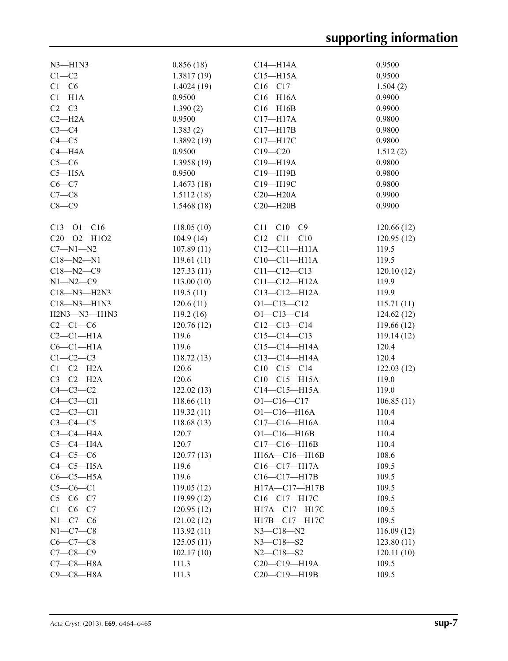| $N3 - H1N3$        | 0.856(18)      | $C14 - H14A$       | 0.9500     |
|--------------------|----------------|--------------------|------------|
| $C1 - C2$          | 1.3817(19)     | $C15 - H15A$       | 0.9500     |
| $C1-C6$            | 1.4024(19)     | $C16 - C17$        | 1.504(2)   |
| $C1 - H1A$         | 0.9500         | $C16 - H16A$       | 0.9900     |
| $C2-C3$            | 1.390(2)       | $C16 - H16B$       | 0.9900     |
| $C2-H2A$           | 0.9500         | $C17 - H17A$       | 0.9800     |
| $C3-C4$            | 1.383(2)       | $C17 - H17B$       | 0.9800     |
| $C4 - C5$          | 1.3892(19)     | C17-H17C           | 0.9800     |
| $C4 - H4A$         | 0.9500         | $C19 - C20$        | 1.512(2)   |
| $C5-C6$            | 1.3958(19)     | C19-H19A           | 0.9800     |
| $C5 - H5A$         | 0.9500         | $C19 - H19B$       | 0.9800     |
| $C6-C7$            | 1.4673(18)     | C19-H19C           | 0.9800     |
| $C7-C8$            | 1.5112(18)     | $C20 - H20A$       | 0.9900     |
| $C8 - C9$          | 1.5468(18)     | $C20 - H20B$       | 0.9900     |
|                    |                |                    |            |
| $C13 - 01 - C16$   | 118.05(10)     | $C11 - C10 - C9$   | 120.66(12) |
| C20-02-H1O2        | 104.9(14)      | $C12 - C11 - C10$  | 120.95(12) |
| $C7 - N1 - N2$     | 107.89(11)     | $C12 - C11 - H11A$ | 119.5      |
| $C18 - N2 - N1$    | 119.61(11)     | $C10-C11-H11A$     | 119.5      |
| $C18 - N2 - C9$    | 127.33(11)     | $C11 - C12 - C13$  | 120.10(12) |
| $N1 - N2 - C9$     | 113.00(10)     | $C11 - C12 - H12A$ | 119.9      |
| C18-N3-H2N3        | 119.5(11)      | $C13 - C12 - H12A$ | 119.9      |
| C18-N3-H1N3        | 120.6(11)      | $O1 - C13 - C12$   | 115.71(11) |
| $H2N3 - N3 - H1N3$ | 119.2(16)      | $O1 - C13 - C14$   | 124.62(12) |
| $C2-C1-C6$         | 120.76(12)     | $C12-C13-C14$      | 119.66(12) |
| $C2-C1-H1A$        | 119.6          | $C15 - C14 - C13$  | 119.14(12) |
| $C6-C1-H1A$        | 119.6          | $C15 - C14 - H14A$ | 120.4      |
| $C1-C2-C3$         | 118.72(13)     | $C13 - C14 - H14A$ | 120.4      |
| $C1-C2-H2A$        | 120.6          | $C10-C15-C14$      | 122.03(12) |
| $C3-C2-H2A$        | 120.6          | $C10-C15-H15A$     | 119.0      |
| $C4-C3-C2$         | 122.02(13)     | $C14-C15-H15A$     | 119.0      |
| $C4-C3-C11$        | 118.66(11)     | $O1 - C16 - C17$   | 106.85(11) |
| $C2-C3-C11$        | 119.32(11)     | $O1 - C16 - H16A$  | 110.4      |
| $C3-C4-C5$         | 118.68(13)     | $C17 - C16 - H16A$ | 110.4      |
| $C3-C4-H4A$        |                | $O1 - C16 - H16B$  | 110.4      |
| $C5-C4-H4A$        | 120.7<br>120.7 | $C17-C16-H16B$     | 110.4      |
| $C4-C5-C6$         | 120.77(13)     | H16A-C16-H16B      | 108.6      |
| $C4-C5-H5A$        |                | C16-C17-H17A       |            |
| $C6-C5-H5A$        | 119.6          |                    | 109.5      |
|                    | 119.6          | C16-C17-H17B       | 109.5      |
| $C5-C6-C1$         | 119.05(12)     | H17A-C17-H17B      | 109.5      |
| $C5 - C6 - C7$     | 119.99(12)     | $C16 - C17 - H17C$ | 109.5      |
| $C1 - C6 - C7$     | 120.95(12)     | H17A-C17-H17C      | 109.5      |
| $N1-C7-C6$         | 121.02(12)     | H17B-C17-H17C      | 109.5      |
| $N1-C7-C8$         | 113.92(11)     | $N3 - C18 - N2$    | 116.09(12) |
| $C6-C7-C8$         | 125.05(11)     | $N3 - C18 - S2$    | 123.80(11) |
| $C7 - C8 - C9$     | 102.17(10)     | $N2 - C18 - S2$    | 120.11(10) |
| $C7-C8-H8A$        | 111.3          | $C20-C19-H19A$     | 109.5      |
| $C9 - C8 - H8A$    | 111.3          | C20-C19-H19B       | 109.5      |